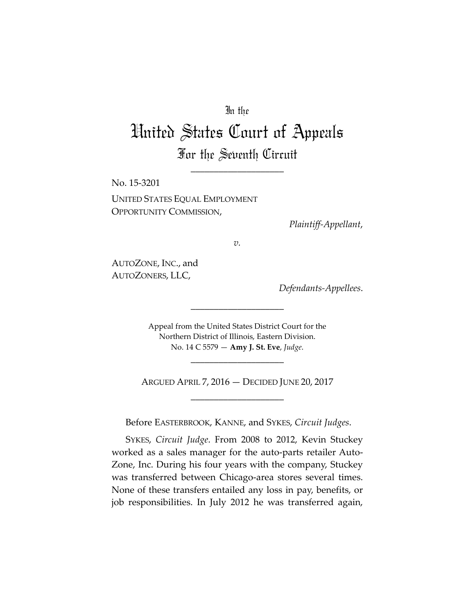## In the

## United States Court of Appeals For the Seventh Circuit

\_\_\_\_\_\_\_\_\_\_\_\_\_\_\_\_\_\_\_\_

No. 15-3201 UNITED STATES EQUAL EMPLOYMENT OPPORTUNITY COMMISSION,

*Plaintiff-Appellant*,

*v.*

AUTOZONE, INC., and AUTOZONERS, LLC,

*Defendants-Appellees*.

Appeal from the United States District Court for the Northern District of Illinois, Eastern Division. No. 14 C 5579 — **Amy J. St. Eve**, *Judge*.

\_\_\_\_\_\_\_\_\_\_\_\_\_\_\_\_\_\_\_\_

ARGUED APRIL 7, 2016 — DECIDED JUNE 20, 2017 \_\_\_\_\_\_\_\_\_\_\_\_\_\_\_\_\_\_\_\_

\_\_\_\_\_\_\_\_\_\_\_\_\_\_\_\_\_\_\_\_

Before EASTERBROOK, KANNE, and SYKES, *Circuit Judges*.

SYKES, *Circuit Judge*. From 2008 to 2012, Kevin Stuckey worked as a sales manager for the auto-parts retailer Auto-Zone, Inc. During his four years with the company, Stuckey was transferred between Chicago-area stores several times. None of these transfers entailed any loss in pay, benefits, or job responsibilities. In July 2012 he was transferred again,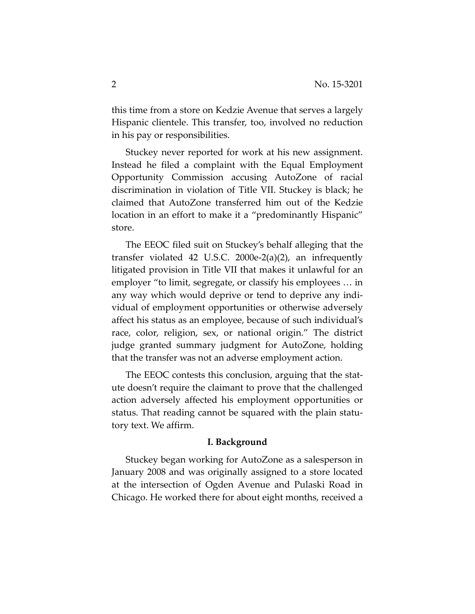this time from a store on Kedzie Avenue that serves a largely Hispanic clientele. This transfer, too, involved no reduction in his pay or responsibilities.

Stuckey never reported for work at his new assignment. Instead he filed a complaint with the Equal Employment Opportunity Commission accusing AutoZone of racial discrimination in violation of Title VII. Stuckey is black; he claimed that AutoZone transferred him out of the Kedzie location in an effort to make it a "predominantly Hispanic" store.

The EEOC filed suit on Stuckey's behalf alleging that the transfer violated 42 U.S.C. 2000e-2(a)(2), an infrequently litigated provision in Title VII that makes it unlawful for an employer "to limit, segregate, or classify his employees … in any way which would deprive or tend to deprive any individual of employment opportunities or otherwise adversely affect his status as an employee, because of such individual's race, color, religion, sex, or national origin." The district judge granted summary judgment for AutoZone, holding that the transfer was not an adverse employment action.

The EEOC contests this conclusion, arguing that the statute doesn't require the claimant to prove that the challenged action adversely affected his employment opportunities or status. That reading cannot be squared with the plain statutory text. We affirm.

## **I. Background**

Stuckey began working for AutoZone as a salesperson in January 2008 and was originally assigned to a store located at the intersection of Ogden Avenue and Pulaski Road in Chicago. He worked there for about eight months, received a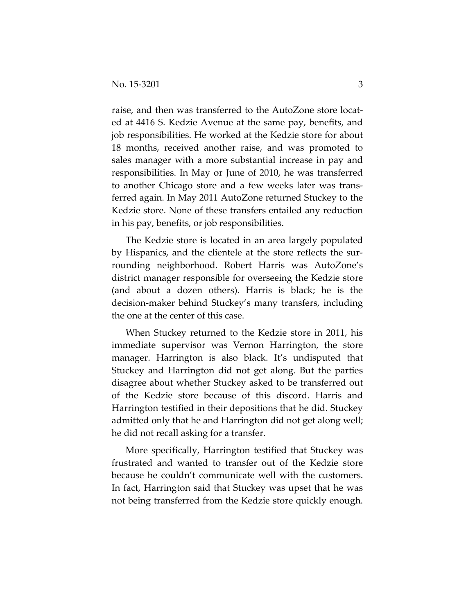raise, and then was transferred to the AutoZone store located at 4416 S. Kedzie Avenue at the same pay, benefits, and job responsibilities. He worked at the Kedzie store for about 18 months, received another raise, and was promoted to sales manager with a more substantial increase in pay and responsibilities. In May or June of 2010, he was transferred to another Chicago store and a few weeks later was transferred again. In May 2011 AutoZone returned Stuckey to the Kedzie store. None of these transfers entailed any reduction in his pay, benefits, or job responsibilities.

The Kedzie store is located in an area largely populated by Hispanics, and the clientele at the store reflects the surrounding neighborhood. Robert Harris was AutoZone's district manager responsible for overseeing the Kedzie store (and about a dozen others). Harris is black; he is the decision-maker behind Stuckey's many transfers, including the one at the center of this case.

When Stuckey returned to the Kedzie store in 2011, his immediate supervisor was Vernon Harrington, the store manager. Harrington is also black. It's undisputed that Stuckey and Harrington did not get along. But the parties disagree about whether Stuckey asked to be transferred out of the Kedzie store because of this discord. Harris and Harrington testified in their depositions that he did. Stuckey admitted only that he and Harrington did not get along well; he did not recall asking for a transfer.

More specifically, Harrington testified that Stuckey was frustrated and wanted to transfer out of the Kedzie store because he couldn't communicate well with the customers. In fact, Harrington said that Stuckey was upset that he was not being transferred from the Kedzie store quickly enough.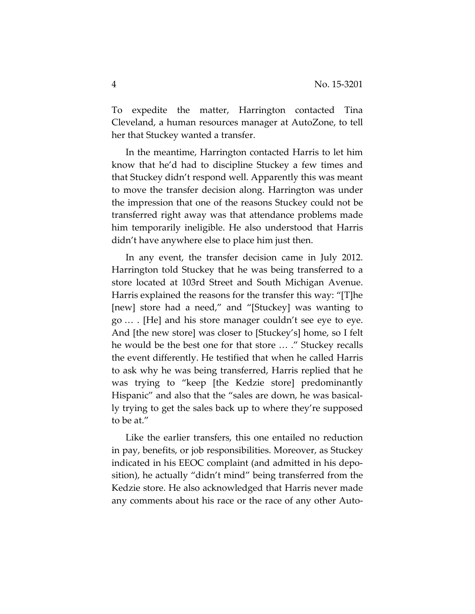To expedite the matter, Harrington contacted Tina Cleveland, a human resources manager at AutoZone, to tell her that Stuckey wanted a transfer.

In the meantime, Harrington contacted Harris to let him know that he'd had to discipline Stuckey a few times and that Stuckey didn't respond well. Apparently this was meant to move the transfer decision along. Harrington was under the impression that one of the reasons Stuckey could not be transferred right away was that attendance problems made him temporarily ineligible. He also understood that Harris didn't have anywhere else to place him just then.

In any event, the transfer decision came in July 2012. Harrington told Stuckey that he was being transferred to a store located at 103rd Street and South Michigan Avenue. Harris explained the reasons for the transfer this way: "[T]he [new] store had a need," and "[Stuckey] was wanting to go … . [He] and his store manager couldn't see eye to eye. And [the new store] was closer to [Stuckey's] home, so I felt he would be the best one for that store … ." Stuckey recalls the event differently. He testified that when he called Harris to ask why he was being transferred, Harris replied that he was trying to "keep [the Kedzie store] predominantly Hispanic" and also that the "sales are down, he was basically trying to get the sales back up to where they're supposed to be at."

Like the earlier transfers, this one entailed no reduction in pay, benefits, or job responsibilities. Moreover, as Stuckey indicated in his EEOC complaint (and admitted in his deposition), he actually "didn't mind" being transferred from the Kedzie store. He also acknowledged that Harris never made any comments about his race or the race of any other Auto-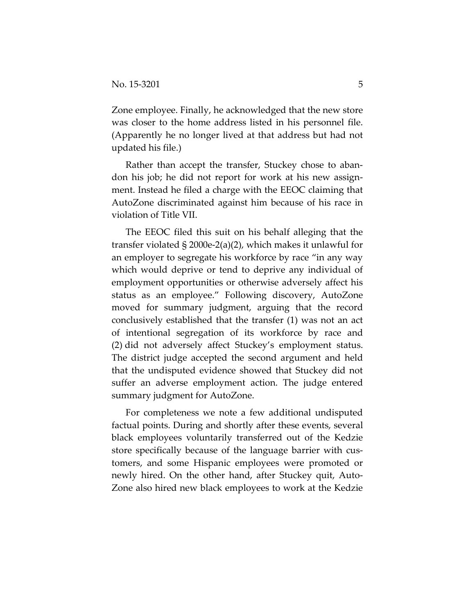Zone employee. Finally, he acknowledged that the new store was closer to the home address listed in his personnel file. (Apparently he no longer lived at that address but had not updated his file.)

Rather than accept the transfer, Stuckey chose to abandon his job; he did not report for work at his new assignment. Instead he filed a charge with the EEOC claiming that AutoZone discriminated against him because of his race in violation of Title VII.

The EEOC filed this suit on his behalf alleging that the transfer violated § 2000e-2(a)(2), which makes it unlawful for an employer to segregate his workforce by race "in any way which would deprive or tend to deprive any individual of employment opportunities or otherwise adversely affect his status as an employee." Following discovery, AutoZone moved for summary judgment, arguing that the record conclusively established that the transfer (1) was not an act of intentional segregation of its workforce by race and (2) did not adversely affect Stuckey's employment status. The district judge accepted the second argument and held that the undisputed evidence showed that Stuckey did not suffer an adverse employment action. The judge entered summary judgment for AutoZone.

For completeness we note a few additional undisputed factual points. During and shortly after these events, several black employees voluntarily transferred out of the Kedzie store specifically because of the language barrier with customers, and some Hispanic employees were promoted or newly hired. On the other hand, after Stuckey quit, Auto-Zone also hired new black employees to work at the Kedzie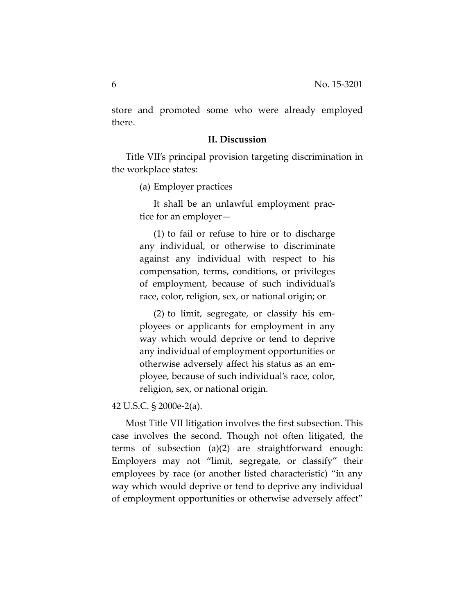store and promoted some who were already employed there.

## **II. Discussion**

Title VII's principal provision targeting discrimination in the workplace states:

(a) Employer practices

It shall be an unlawful employment practice for an employer—

(1) to fail or refuse to hire or to discharge any individual, or otherwise to discriminate against any individual with respect to his compensation, terms, conditions, or privileges of employment, because of such individual's race, color, religion, sex, or national origin; or

(2) to limit, segregate, or classify his employees or applicants for employment in any way which would deprive or tend to deprive any individual of employment opportunities or otherwise adversely affect his status as an employee, because of such individual's race, color, religion, sex, or national origin.

42 U.S.C. § 2000e-2(a).

Most Title VII litigation involves the first subsection. This case involves the second. Though not often litigated, the terms of subsection (a)(2) are straightforward enough: Employers may not "limit, segregate, or classify" their employees by race (or another listed characteristic) "in any way which would deprive or tend to deprive any individual of employment opportunities or otherwise adversely affect"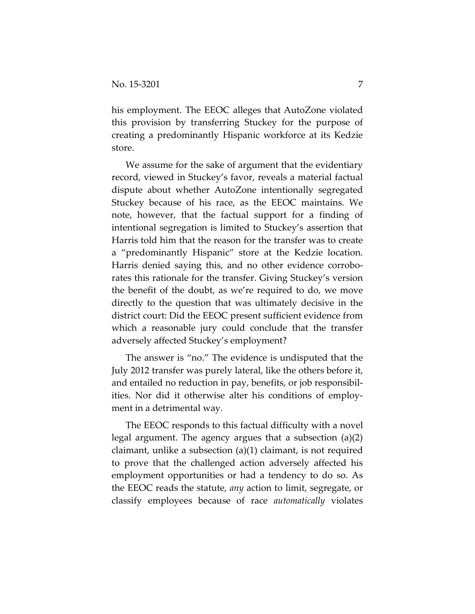his employment. The EEOC alleges that AutoZone violated this provision by transferring Stuckey for the purpose of creating a predominantly Hispanic workforce at its Kedzie store.

We assume for the sake of argument that the evidentiary record, viewed in Stuckey's favor, reveals a material factual dispute about whether AutoZone intentionally segregated Stuckey because of his race, as the EEOC maintains. We note, however, that the factual support for a finding of intentional segregation is limited to Stuckey's assertion that Harris told him that the reason for the transfer was to create a "predominantly Hispanic" store at the Kedzie location. Harris denied saying this, and no other evidence corroborates this rationale for the transfer. Giving Stuckey's version the benefit of the doubt, as we're required to do, we move directly to the question that was ultimately decisive in the district court: Did the EEOC present sufficient evidence from which a reasonable jury could conclude that the transfer adversely affected Stuckey's employment?

The answer is "no." The evidence is undisputed that the July 2012 transfer was purely lateral, like the others before it, and entailed no reduction in pay, benefits, or job responsibilities. Nor did it otherwise alter his conditions of employment in a detrimental way.

The EEOC responds to this factual difficulty with a novel legal argument. The agency argues that a subsection (a)(2) claimant, unlike a subsection (a)(1) claimant, is not required to prove that the challenged action adversely affected his employment opportunities or had a tendency to do so. As the EEOC reads the statute, *any* action to limit, segregate, or classify employees because of race *automatically* violates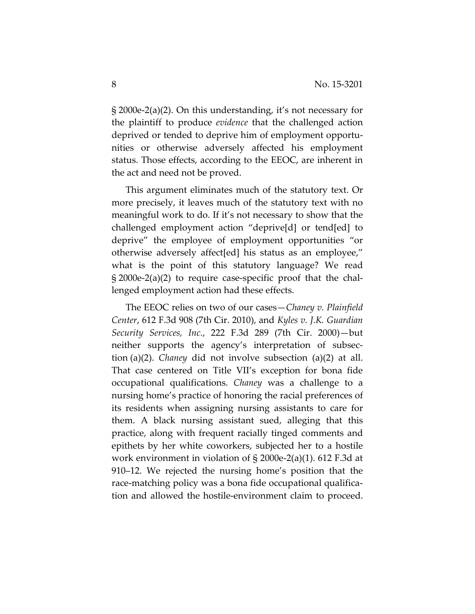§ 2000e-2(a)(2). On this understanding, it's not necessary for the plaintiff to produce *evidence* that the challenged action deprived or tended to deprive him of employment opportunities or otherwise adversely affected his employment status. Those effects, according to the EEOC, are inherent in the act and need not be proved.

This argument eliminates much of the statutory text. Or more precisely, it leaves much of the statutory text with no meaningful work to do. If it's not necessary to show that the challenged employment action "deprive[d] or tend[ed] to deprive" the employee of employment opportunities "or otherwise adversely affect[ed] his status as an employee," what is the point of this statutory language? We read § 2000e-2(a)(2) to require case-specific proof that the challenged employment action had these effects.

The EEOC relies on two of our cases—*Chaney v. Plainfield Center*, 612 F.3d 908 (7th Cir. 2010), and *Kyles v. J.K. Guardian Security Services, Inc.*, 222 F.3d 289 (7th Cir. 2000)—but neither supports the agency's interpretation of subsection (a)(2). *Chaney* did not involve subsection (a)(2) at all. That case centered on Title VII's exception for bona fide occupational qualifications. *Chaney* was a challenge to a nursing home's practice of honoring the racial preferences of its residents when assigning nursing assistants to care for them. A black nursing assistant sued, alleging that this practice, along with frequent racially tinged comments and epithets by her white coworkers, subjected her to a hostile work environment in violation of § 2000e-2(a)(1). 612 F.3d at 910–12. We rejected the nursing home's position that the race-matching policy was a bona fide occupational qualification and allowed the hostile-environment claim to proceed.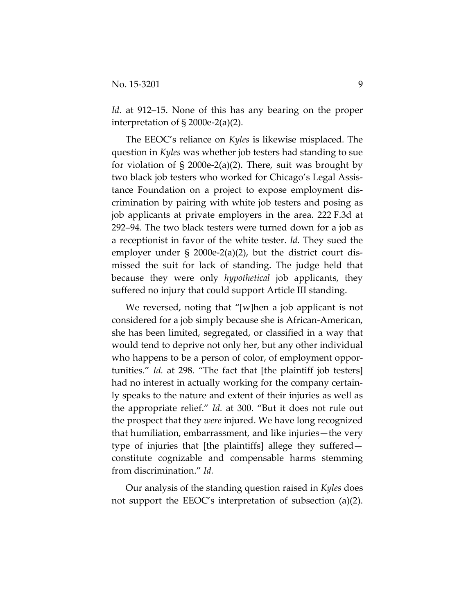*Id.* at 912–15. None of this has any bearing on the proper interpretation of § 2000e-2(a)(2).

The EEOC's reliance on *Kyles* is likewise misplaced. The question in *Kyles* was whether job testers had standing to sue for violation of  $\S$  2000e-2(a)(2). There, suit was brought by two black job testers who worked for Chicago's Legal Assistance Foundation on a project to expose employment discrimination by pairing with white job testers and posing as job applicants at private employers in the area. 222 F.3d at 292–94. The two black testers were turned down for a job as a receptionist in favor of the white tester. *Id.* They sued the employer under § 2000e-2(a)(2), but the district court dismissed the suit for lack of standing. The judge held that because they were only *hypothetical* job applicants, they suffered no injury that could support Article III standing.

We reversed, noting that "[w]hen a job applicant is not considered for a job simply because she is African-American, she has been limited, segregated, or classified in a way that would tend to deprive not only her, but any other individual who happens to be a person of color, of employment opportunities." *Id.* at 298. "The fact that [the plaintiff job testers] had no interest in actually working for the company certainly speaks to the nature and extent of their injuries as well as the appropriate relief." *Id.* at 300. "But it does not rule out the prospect that they *were* injured. We have long recognized that humiliation, embarrassment, and like injuries—the very type of injuries that [the plaintiffs] allege they suffered constitute cognizable and compensable harms stemming from discrimination." *Id.*

Our analysis of the standing question raised in *Kyles* does not support the EEOC's interpretation of subsection (a)(2).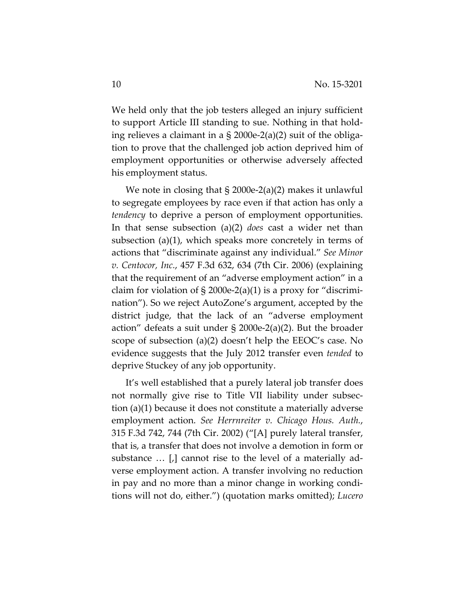We held only that the job testers alleged an injury sufficient to support Article III standing to sue. Nothing in that holding relieves a claimant in a  $\S 2000e-2(a)(2)$  suit of the obligation to prove that the challenged job action deprived him of employment opportunities or otherwise adversely affected his employment status.

We note in closing that § 2000e-2(a)(2) makes it unlawful to segregate employees by race even if that action has only a *tendency* to deprive a person of employment opportunities. In that sense subsection (a)(2) *does* cast a wider net than subsection (a)(1), which speaks more concretely in terms of actions that "discriminate against any individual." *See Minor v. Centocor, Inc.*, 457 F.3d 632, 634 (7th Cir. 2006) (explaining that the requirement of an "adverse employment action" in a claim for violation of  $\S 2000e-2(a)(1)$  is a proxy for "discrimination"). So we reject AutoZone's argument, accepted by the district judge, that the lack of an "adverse employment action" defeats a suit under § 2000e-2(a)(2). But the broader scope of subsection (a)(2) doesn't help the EEOC's case. No evidence suggests that the July 2012 transfer even *tended* to deprive Stuckey of any job opportunity.

It's well established that a purely lateral job transfer does not normally give rise to Title VII liability under subsection (a)(1) because it does not constitute a materially adverse employment action. *See Herrnreiter v. Chicago Hous. Auth.*, 315 F.3d 742, 744 (7th Cir. 2002) ("[A] purely lateral transfer, that is, a transfer that does not involve a demotion in form or substance … [,] cannot rise to the level of a materially adverse employment action. A transfer involving no reduction in pay and no more than a minor change in working conditions will not do, either.") (quotation marks omitted); *Lucero*